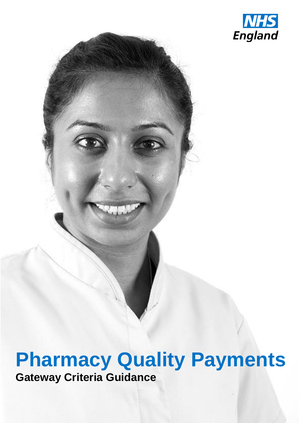

### This is a controlled document. Whilst this document may be printed, the electronic version posted on  $\mathbb{R}^n$ the intranet is the controlled copy. Any printed copies of this document are not controlled. As a Pharmacy Quality Payments **Gateway Criteria Guidance**

england.primarycareops@nhs.net

Primary Care Commissioning

Drug Tariff, December 2016

**Review points 30th April 2017 and 30th November 2017 and 30th November 2017** 

Support implementation of Community Pharmacy Contracutal

NHS England

Framework

0

Quarry House

**NHS ENGLAND INFORMATION READER** 

**Medical Operations and Informations and Information Specialised Commission Specialised Commission** Nursing Trans. & Corp. Ops. Commissioning Strategy

Primary Care Commissioning, NHS England

Commissioning Operations, Community Pharmacy

NHS England Regional Directors, NHS England Directors of

Pharmacy Quality Payments Gateway Criteria Guidance

Contract Clinical Leaders, CCG Accountable Officers, Medical Directors, Medical Directors, Medical Directors,

**Publications Gateway Reference: 06200**

December 2016

**Directorate**

**Document Purpose** 

**Document Name**

**Publication** Date **Target Audience**

**Additional Circulation** 

**ARGO** 

**Authorized** 

**List**

**Description**

**Cross Reference** 

**Action Required**

 $\mathcal{N}$  and  $\mathcal{N}$ 

**Timing / Deadlines**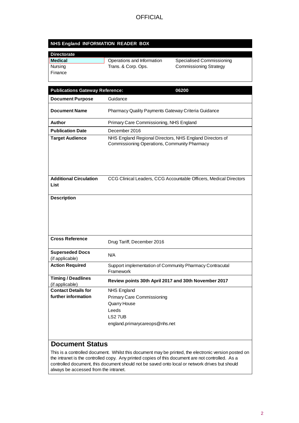#### **NHS England INFORMATION READER BOX**

| <b>Directorate</b> |                            |                               |
|--------------------|----------------------------|-------------------------------|
| Medical            | Operations and Information | Specialised Commissioning     |
| Nursing            | Trans. & Corp. Ops.        | <b>Commissioning Strategy</b> |
| l Finance          |                            |                               |

| <b>Publications Gateway Reference:</b>            | 06200                                                                                                                        |
|---------------------------------------------------|------------------------------------------------------------------------------------------------------------------------------|
| <b>Document Purpose</b>                           | Guidance                                                                                                                     |
| <b>Document Name</b>                              | Pharmacy Quality Payments Gateway Criteria Guidance                                                                          |
| Author                                            | Primary Care Commissioning, NHS England                                                                                      |
| <b>Publication Date</b>                           | December 2016                                                                                                                |
| <b>Target Audience</b>                            | NHS England Regional Directors, NHS England Directors of<br>Commissioning Operations, Community Pharmacy                     |
| <b>Additional Circulation</b><br>List             | CCG Clinical Leaders, CCG Accountable Officers, Medical Directors                                                            |
|                                                   |                                                                                                                              |
| <b>Cross Reference</b>                            | Drug Tariff, December 2016                                                                                                   |
| <b>Superseded Docs</b><br>(if applicable)         | N/A                                                                                                                          |
| <b>Action Required</b>                            | Support implementation of Community Pharmacy Contracutal<br>Framework                                                        |
| <b>Timing / Deadlines</b><br>(if applicable)      | Review points 30th April 2017 and 30th November 2017                                                                         |
| <b>Contact Details for</b><br>further information | <b>NHS England</b><br><b>Primary Care Commissioning</b><br>Quarry House<br>Leeds<br>LS27UB<br>england.primarycareops@nhs.net |
|                                                   |                                                                                                                              |

#### **Document Status**

This is a controlled document. Whilst this document may be printed, the electronic version posted on the intranet is the controlled copy. Any printed copies of this document are not controlled. As a controlled document, this document should not be saved onto local or network drives but should always be accessed from the intranet.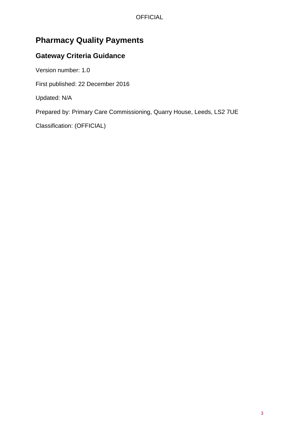# **Pharmacy Quality Payments**

## **Gateway Criteria Guidance**

Version number: 1.0

First published: 22 December 2016

Updated: N/A

Prepared by: Primary Care Commissioning, Quarry House, Leeds, LS2 7UE

Classification: (OFFICIAL)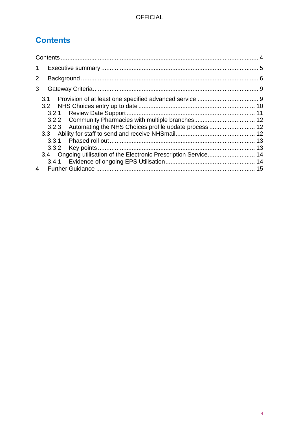# <span id="page-3-0"></span>**Contents**

| $\mathbf{1}$                                                |  |
|-------------------------------------------------------------|--|
| 2                                                           |  |
| 3                                                           |  |
| 3.1                                                         |  |
|                                                             |  |
|                                                             |  |
|                                                             |  |
| 3.2.3 Automating the NHS Choices profile update process  12 |  |
|                                                             |  |
| 3.3.1                                                       |  |
| 3.3.2                                                       |  |
|                                                             |  |
|                                                             |  |
|                                                             |  |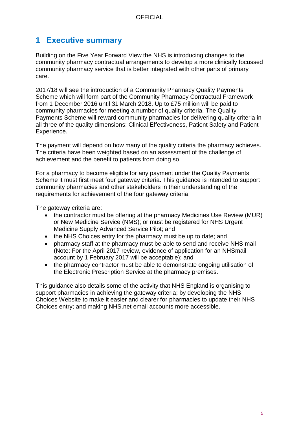## <span id="page-4-0"></span>**1 Executive summary**

Building on the Five Year Forward View the NHS is introducing changes to the community pharmacy contractual arrangements to develop a more clinically focussed community pharmacy service that is better integrated with other parts of primary care.

2017/18 will see the introduction of a Community Pharmacy Quality Payments Scheme which will form part of the Community Pharmacy Contractual Framework from 1 December 2016 until 31 March 2018. Up to £75 million will be paid to community pharmacies for meeting a number of quality criteria. The Quality Payments Scheme will reward community pharmacies for delivering quality criteria in all three of the quality dimensions: Clinical Effectiveness, Patient Safety and Patient Experience.

The payment will depend on how many of the quality criteria the pharmacy achieves. The criteria have been weighted based on an assessment of the challenge of achievement and the benefit to patients from doing so.

For a pharmacy to become eligible for any payment under the Quality Payments Scheme it must first meet four gateway criteria. This guidance is intended to support community pharmacies and other stakeholders in their understanding of the requirements for achievement of the four gateway criteria.

The gateway criteria are:

- the contractor must be offering at the pharmacy Medicines Use Review (MUR) or New Medicine Service (NMS); or must be registered for NHS Urgent Medicine Supply Advanced Service Pilot; and
- the NHS Choices entry for the pharmacy must be up to date; and
- pharmacy staff at the pharmacy must be able to send and receive NHS mail (Note: For the April 2017 review, evidence of application for an NHSmail account by 1 February 2017 will be acceptable); and
- the pharmacy contractor must be able to demonstrate ongoing utilisation of the Electronic Prescription Service at the pharmacy premises.

This guidance also details some of the activity that NHS England is organising to support pharmacies in achieving the gateway criteria; by developing the NHS Choices Website to make it easier and clearer for pharmacies to update their NHS Choices entry; and making NHS.net email accounts more accessible.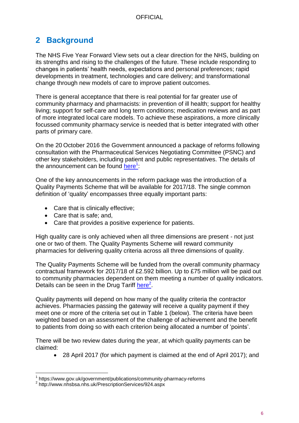## <span id="page-5-0"></span>**2 Background**

The NHS Five Year Forward View sets out a clear direction for the NHS, building on its strengths and rising to the challenges of the future. These include responding to changes in patients' health needs, expectations and personal preferences; rapid developments in treatment, technologies and care delivery; and transformational change through new models of care to improve patient outcomes.

There is general acceptance that there is real potential for far greater use of community pharmacy and pharmacists: in prevention of ill health; support for healthy living; support for self-care and long term conditions; medication reviews and as part of more integrated local care models. To achieve these aspirations, a more clinically focussed community pharmacy service is needed that is better integrated with other parts of primary care.

On the 20 October 2016 the Government announced a package of reforms following consultation with the Pharmaceutical Services Negotiating Committee (PSNC) and other key stakeholders, including patient and public representatives. The details of the announcement can be found [here](https://www.gov.uk/government/publications/community-pharmacy-reforms)<sup>1</sup>:

One of the key announcements in the reform package was the introduction of a Quality Payments Scheme that will be available for 2017/18. The single common definition of 'quality' encompasses three equally important parts:

- Care that is clinically effective;
- Care that is safe: and,
- Care that provides a positive experience for patients.

High quality care is only achieved when all three dimensions are present - not just one or two of them. The Quality Payments Scheme will reward community pharmacies for delivering quality criteria across all three dimensions of quality.

The Quality Payments Scheme will be funded from the overall community pharmacy contractual framework for 2017/18 of £2.592 billion. Up to £75 million will be paid out to community pharmacies dependent on them meeting a number of quality indicators. Details can be seen in the Drug Tariff [here](http://www.nhsbsa.nhs.uk/PrescriptionServices/924.aspx)<sup>2</sup>.

Quality payments will depend on how many of the quality criteria the contractor achieves. Pharmacies passing the gateway will receive a quality payment if they meet one or more of the criteria set out in Table 1 (below). The criteria have been weighted based on an assessment of the challenge of achievement and the benefit to patients from doing so with each criterion being allocated a number of 'points'.

There will be two review dates during the year, at which quality payments can be claimed:

• 28 April 2017 (for which payment is claimed at the end of April 2017); and

l

<sup>1</sup> https://www.gov.uk/government/publications/community-pharmacy-reforms

<sup>2</sup> http://www.nhsbsa.nhs.uk/PrescriptionServices/924.aspx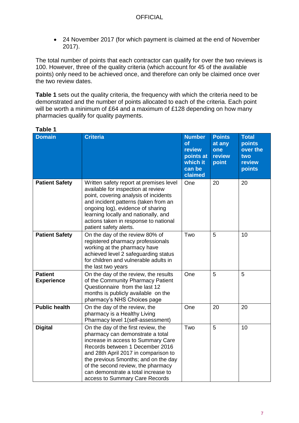24 November 2017 (for which payment is claimed at the end of November 2017).

The total number of points that each contractor can qualify for over the two reviews is 100. However, three of the quality criteria (which account for 45 of the available points) only need to be achieved once, and therefore can only be claimed once over the two review dates.

**Table 1** sets out the quality criteria, the frequency with which the criteria need to be demonstrated and the number of points allocated to each of the criteria. Each point will be worth a minimum of £64 and a maximum of £128 depending on how many pharmacies qualify for quality payments.

| <b>Domain</b>                       | <b>Criteria</b>                                                                                                                                                                                                                                                                                                                                 | <b>Number</b><br>of<br>review<br>points at<br>which it<br>can be<br>claimed | <b>Points</b><br>at any<br>one<br>review<br>point | <b>Total</b><br>points<br>over the<br>two<br>review<br>points |
|-------------------------------------|-------------------------------------------------------------------------------------------------------------------------------------------------------------------------------------------------------------------------------------------------------------------------------------------------------------------------------------------------|-----------------------------------------------------------------------------|---------------------------------------------------|---------------------------------------------------------------|
| <b>Patient Safety</b>               | Written safety report at premises level<br>available for inspection at review<br>point, covering analysis of incidents<br>and incident patterns (taken from an<br>ongoing log), evidence of sharing<br>learning locally and nationally, and<br>actions taken in response to national<br>patient safety alerts.                                  | One                                                                         | 20                                                | 20                                                            |
| <b>Patient Safety</b>               | On the day of the review 80% of<br>registered pharmacy professionals<br>working at the pharmacy have<br>achieved level 2 safeguarding status<br>for children and vulnerable adults in<br>the last two years                                                                                                                                     | Two                                                                         | 5                                                 | 10                                                            |
| <b>Patient</b><br><b>Experience</b> | On the day of the review, the results<br>of the Community Pharmacy Patient<br>Questionnaire from the last 12<br>months is publicly available on the<br>pharmacy's NHS Choices page                                                                                                                                                              | One                                                                         | 5                                                 | 5                                                             |
| <b>Public health</b>                | On the day of the review, the<br>pharmacy is a Healthy Living<br>Pharmacy level 1(self-assessment)                                                                                                                                                                                                                                              | One                                                                         | 20                                                | 20                                                            |
| <b>Digital</b>                      | On the day of the first review, the<br>pharmacy can demonstrate a total<br>increase in access to Summary Care<br>Records between 1 December 2016<br>and 28th April 2017 in comparison to<br>the previous 5months; and on the day<br>of the second review, the pharmacy<br>can demonstrate a total increase to<br>access to Summary Care Records | Two                                                                         | 5                                                 | 10                                                            |

#### **Table 1**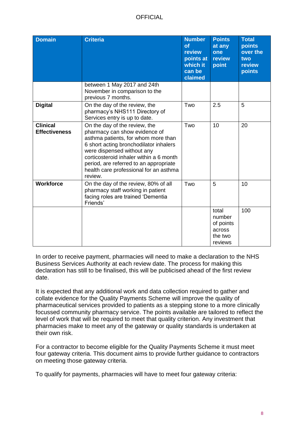| <b>Domain</b>                           | <b>Criteria</b>                                                                                                                                                                                                                                                                                                         | <b>Number</b><br>of<br>review<br>points at<br>which it<br>can be<br>claimed | <b>Points</b><br>at any<br>one<br>review<br>point            | <b>Total</b><br>points<br>over the<br>two<br>review<br>points |
|-----------------------------------------|-------------------------------------------------------------------------------------------------------------------------------------------------------------------------------------------------------------------------------------------------------------------------------------------------------------------------|-----------------------------------------------------------------------------|--------------------------------------------------------------|---------------------------------------------------------------|
|                                         | between 1 May 2017 and 24th<br>November in comparison to the<br>previous 7 months.                                                                                                                                                                                                                                      |                                                                             |                                                              |                                                               |
| <b>Digital</b>                          | On the day of the review, the<br>pharmacy's NHS111 Directory of<br>Services entry is up to date.                                                                                                                                                                                                                        | Two                                                                         | 2.5                                                          | 5                                                             |
| <b>Clinical</b><br><b>Effectiveness</b> | On the day of the review, the<br>pharmacy can show evidence of<br>asthma patients, for whom more than<br>6 short acting bronchodilator inhalers<br>were dispensed without any<br>corticosteroid inhaler within a 6 month<br>period, are referred to an appropriate<br>health care professional for an asthma<br>review. | Two                                                                         | 10                                                           | 20                                                            |
| <b>Workforce</b>                        | On the day of the review, 80% of all<br>pharmacy staff working in patient<br>facing roles are trained 'Dementia<br>Friends'                                                                                                                                                                                             | Two                                                                         | 5                                                            | 10                                                            |
|                                         |                                                                                                                                                                                                                                                                                                                         |                                                                             | total<br>number<br>of points<br>across<br>the two<br>reviews | 100                                                           |

In order to receive payment, pharmacies will need to make a declaration to the NHS Business Services Authority at each review date. The process for making this declaration has still to be finalised, this will be publicised ahead of the first review date.

It is expected that any additional work and data collection required to gather and collate evidence for the Quality Payments Scheme will improve the quality of pharmaceutical services provided to patients as a stepping stone to a more clinically focussed community pharmacy service. The points available are tailored to reflect the level of work that will be required to meet that quality criterion. Any investment that pharmacies make to meet any of the gateway or quality standards is undertaken at their own risk.

For a contractor to become eligible for the Quality Payments Scheme it must meet four gateway criteria. This document aims to provide further guidance to contractors on meeting those gateway criteria.

To qualify for payments, pharmacies will have to meet four gateway criteria: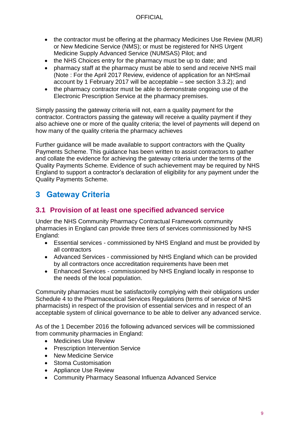- the contractor must be offering at the pharmacy Medicines Use Review (MUR) or New Medicine Service (NMS); or must be registered for NHS Urgent Medicine Supply Advanced Service (NUMSAS) Pilot; and
- the NHS Choices entry for the pharmacy must be up to date; and
- pharmacy staff at the pharmacy must be able to send and receive NHS mail (Note : For the April 2017 Review, evidence of application for an NHSmail account by 1 February 2017 will be acceptable – see section 3.3.2); and
- the pharmacy contractor must be able to demonstrate ongoing use of the Electronic Prescription Service at the pharmacy premises.

Simply passing the gateway criteria will not, earn a quality payment for the contractor. Contractors passing the gateway will receive a quality payment if they also achieve one or more of the quality criteria; the level of payments will depend on how many of the quality criteria the pharmacy achieves

Further guidance will be made available to support contractors with the Quality Payments Scheme. This guidance has been written to assist contractors to gather and collate the evidence for achieving the gateway criteria under the terms of the Quality Payments Scheme. Evidence of such achievement may be required by NHS England to support a contractor's declaration of eligibility for any payment under the Quality Payments Scheme.

# <span id="page-8-0"></span>**3 Gateway Criteria**

### <span id="page-8-1"></span>**3.1 Provision of at least one specified advanced service**

Under the NHS Community Pharmacy Contractual Framework community pharmacies in England can provide three tiers of services commissioned by NHS England:

- Essential services commissioned by NHS England and must be provided by all contractors
- Advanced Services commissioned by NHS England which can be provided by all contractors once accreditation requirements have been met
- Enhanced Services commissioned by NHS England locally in response to the needs of the local population.

Community pharmacies must be satisfactorily complying with their obligations under Schedule 4 to the Pharmaceutical Services Regulations (terms of service of NHS pharmacists) in respect of the provision of essential services and in respect of an acceptable system of clinical governance to be able to deliver any advanced service.

As of the 1 December 2016 the following advanced services will be commissioned from community pharmacies in England:

- Medicines Use Review
- Prescription Intervention Service
- New Medicine Service
- Stoma Customisation
- Appliance Use Review
- Community Pharmacy Seasonal Influenza Advanced Service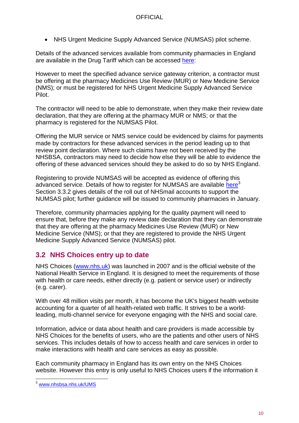NHS Urgent Medicine Supply Advanced Service (NUMSAS) pilot scheme.

Details of the advanced services available from community pharmacies in England are available in the Drug Tariff which can be accessed [here:](http://www.nhsbsa.nhs.uk/PrescriptionServices/924.aspx)

However to meet the specified advance service gateway criterion, a contractor must be offering at the pharmacy Medicines Use Review (MUR) or New Medicine Service (NMS); or must be registered for NHS Urgent Medicine Supply Advanced Service Pilot.

The contractor will need to be able to demonstrate, when they make their review date declaration, that they are offering at the pharmacy MUR or NMS; or that the pharmacy is registered for the NUMSAS Pilot.

Offering the MUR service or NMS service could be evidenced by claims for payments made by contractors for these advanced services in the period leading up to that review point declaration. Where such claims have not been received by the NHSBSA, contractors may need to decide how else they will be able to evidence the offering of these advanced services should they be asked to do so by NHS England.

Registering to provide NUMSAS will be accepted as evidence of offering this advanced service. Details of how to register for NUMSAS are available *here*<sup>3</sup> Section 3.3.2 gives details of the roll out of NHSmail accounts to support the NUMSAS pilot; further guidance will be issued to community pharmacies in January.

Therefore, community pharmacies applying for the quality payment will need to ensure that, before they make any review date declaration that they can demonstrate that they are offering at the pharmacy Medicines Use Review (MUR) or New Medicine Service (NMS); or that they are registered to provide the NHS Urgent Medicine Supply Advanced Service (NUMSAS) pilot.

### <span id="page-9-0"></span>**3.2 NHS Choices entry up to date**

NHS Choices [\(www.nhs.uk\)](http://www.nhs.uk/) was launched in 2007 and is the official website of the National Health Service in England. It is designed to meet the requirements of those with health or care needs, either directly (e.g. patient or service user) or indirectly (e.g. carer).

With over 48 million visits per month, it has become the UK's biggest health website accounting for a quarter of all health-related web traffic. It strives to be a worldleading, multi-channel service for everyone engaging with the NHS and social care.

Information, advice or data about health and care providers is made accessible by NHS Choices for the benefits of users, who are the patients and other users of NHS services. This includes details of how to access health and care services in order to make interactions with health and care services as easy as possible.

Each community pharmacy in England has its own entry on the NHS Choices website. However this entry is only useful to NHS Choices users if the information it

l

 $^3$  <u>[www.nhsbsa.nhs.uk/UMS](http://www.nhsbsa.nhs.uk/UMS)</u>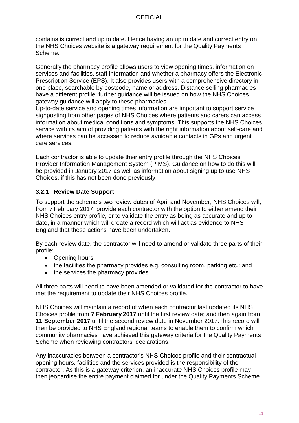contains is correct and up to date. Hence having an up to date and correct entry on the NHS Choices website is a gateway requirement for the Quality Payments Scheme.

Generally the pharmacy profile allows users to view opening times, information on services and facilities, staff information and whether a pharmacy offers the Electronic Prescription Service (EPS). It also provides users with a comprehensive directory in one place, searchable by postcode, name or address. Distance selling pharmacies have a different profile; further guidance will be issued on how the NHS Choices gateway guidance will apply to these pharmacies.

Up-to-date service and opening times information are important to support service signposting from other pages of NHS Choices where patients and carers can access information about medical conditions and symptoms. This supports the NHS Choices service with its aim of providing patients with the right information about self-care and where services can be accessed to reduce avoidable contacts in GPs and urgent care services.

Each contractor is able to update their entry profile through the NHS Choices Provider Information Management System (PIMS). Guidance on how to do this will be provided in January 2017 as well as information about signing up to use NHS Choices, if this has not been done previously.

#### <span id="page-10-0"></span>**3.2.1 Review Date Support**

To support the scheme's two review dates of April and November, NHS Choices will, from 7 February 2017, provide each contractor with the option to either amend their NHS Choices entry profile, or to validate the entry as being as accurate and up to date, in a manner which will create a record which will act as evidence to NHS England that these actions have been undertaken.

By each review date, the contractor will need to amend or validate three parts of their profile:

- Opening hours
- the facilities the pharmacy provides e.g. consulting room, parking etc.: and
- the services the pharmacy provides.

All three parts will need to have been amended or validated for the contractor to have met the requirement to update their NHS Choices profile.

NHS Choices will maintain a record of when each contractor last updated its NHS Choices profile from **7 February 2017** until the first review date; and then again from **11 September 2017** until the second review date in November 2017.This record will then be provided to NHS England regional teams to enable them to confirm which community pharmacies have achieved this gateway criteria for the Quality Payments Scheme when reviewing contractors' declarations.

Any inaccuracies between a contractor's NHS Choices profile and their contractual opening hours, facilities and the services provided is the responsibility of the contractor. As this is a gateway criterion, an inaccurate NHS Choices profile may then jeopardise the entire payment claimed for under the Quality Payments Scheme.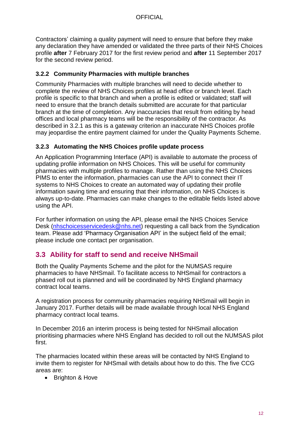Contractors' claiming a quality payment will need to ensure that before they make any declaration they have amended or validated the three parts of their NHS Choices profile **after** 7 February 2017 for the first review period and **after** 11 September 2017 for the second review period.

#### <span id="page-11-0"></span>**3.2.2 Community Pharmacies with multiple branches**

Community Pharmacies with multiple branches will need to decide whether to complete the review of NHS Choices profiles at head office or branch level. Each profile is specific to that branch and when a profile is edited or validated; staff will need to ensure that the branch details submitted are accurate for that particular branch at the time of completion. Any inaccuracies that result from editing by head offices and local pharmacy teams will be the responsibility of the contractor. As described in 3.2.1 as this is a gateway criterion an inaccurate NHS Choices profile may jeopardise the entire payment claimed for under the Quality Payments Scheme.

#### <span id="page-11-1"></span>**3.2.3 Automating the NHS Choices profile update process**

An Application Programming Interface (API) is available to automate the process of updating profile information on NHS Choices. This will be useful for community pharmacies with multiple profiles to manage. Rather than using the NHS Choices PIMS to enter the information, pharmacies can use the API to connect their IT systems to NHS Choices to create an automated way of updating their profile information saving time and ensuring that their information, on NHS Choices is always up-to-date. Pharmacies can make changes to the editable fields listed above using the API.

For further information on using the API, please email the NHS Choices Service Desk [\(nhschoicesservicedesk@nhs.net\)](mailto:nhschoicesservicedesk@nhs.net) requesting a call back from the Syndication team. Please add 'Pharmacy Organisation API' in the subject field of the email; please include one contact per organisation.

### <span id="page-11-2"></span>**3.3 Ability for staff to send and receive NHSmail**

Both the Quality Payments Scheme and the pilot for the NUMSAS require pharmacies to have NHSmail. To facilitate access to NHSmail for contractors a phased roll out is planned and will be coordinated by NHS England pharmacy contract local teams.

A registration process for community pharmacies requiring NHSmail will begin in January 2017. Further details will be made available through local NHS England pharmacy contract local teams.

In December 2016 an interim process is being tested for NHSmail allocation prioritising pharmacies where NHS England has decided to roll out the NUMSAS pilot first.

The pharmacies located within these areas will be contacted by NHS England to invite them to register for NHSmail with details about how to do this. The five CCG areas are:

• Brighton & Hove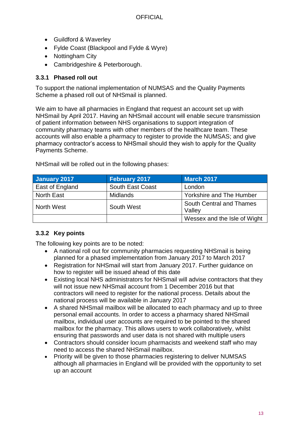- Guildford & Waverley
- Fylde Coast (Blackpool and Fylde & Wyre)
- Nottingham City
- Cambridgeshire & Peterborough.

#### <span id="page-12-0"></span>**3.3.1 Phased roll out**

To support the national implementation of NUMSAS and the Quality Payments Scheme a phased roll out of NHSmail is planned.

We aim to have all pharmacies in England that request an account set up with NHSmail by April 2017. Having an NHSmail account will enable secure transmission of patient information between NHS organisations to support integration of community pharmacy teams with other members of the healthcare team. These accounts will also enable a pharmacy to register to provide the NUMSAS; and give pharmacy contractor's access to NHSmail should they wish to apply for the Quality Payments Scheme.

| January 2017    | <b>February 2017</b>    | <b>March 2017</b>                         |
|-----------------|-------------------------|-------------------------------------------|
| East of England | <b>South East Coast</b> | London                                    |
| North East      | <b>Midlands</b>         | <b>Yorkshire and The Humber</b>           |
| North West      | South West              | <b>South Central and Thames</b><br>Valley |
|                 |                         | Wessex and the Isle of Wight              |

NHSmail will be rolled out in the following phases:

#### <span id="page-12-1"></span>**3.3.2 Key points**

The following key points are to be noted:

- A national roll out for community pharmacies requesting NHSmail is being planned for a phased implementation from January 2017 to March 2017
- Registration for NHSmail will start from January 2017. Further guidance on how to register will be issued ahead of this date
- Existing local NHS administrators for NHSmail will advise contractors that they will not issue new NHSmail account from 1 December 2016 but that contractors will need to register for the national process. Details about the national process will be available in January 2017
- A shared NHSmail mailbox will be allocated to each pharmacy and up to three personal email accounts. In order to access a pharmacy shared NHSmail mailbox, individual user accounts are required to be pointed to the shared mailbox for the pharmacy. This allows users to work collaboratively, whilst ensuring that passwords and user data is not shared with multiple users
- Contractors should consider locum pharmacists and weekend staff who may need to access the shared NHSmail mailbox.
- Priority will be given to those pharmacies registering to deliver NUMSAS although all pharmacies in England will be provided with the opportunity to set up an account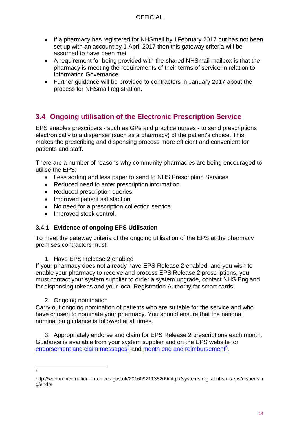- If a pharmacy has registered for NHSmail by 1February 2017 but has not been set up with an account by 1 April 2017 then this gateway criteria will be assumed to have been met
- A requirement for being provided with the shared NHSmail mailbox is that the pharmacy is meeting the requirements of their terms of service in relation to Information Governance
- Further guidance will be provided to contractors in January 2017 about the process for NHSmail registration.

### <span id="page-13-0"></span>**3.4 Ongoing utilisation of the Electronic Prescription Service**

EPS enables prescribers - such as GPs and practice nurses - to send prescriptions electronically to a dispenser (such as a pharmacy) of the patient's choice. This makes the prescribing and dispensing process more efficient and convenient for patients and staff.

There are a number of reasons why community pharmacies are being encouraged to utilise the EPS:

- Less sorting and less paper to send to NHS Prescription Services
- Reduced need to enter prescription information
- Reduced prescription queries
- Improved patient satisfaction
- No need for a prescription collection service
- Improved stock control.

#### <span id="page-13-1"></span>**3.4.1 Evidence of ongoing EPS Utilisation**

To meet the gateway criteria of the ongoing utilisation of the EPS at the pharmacy premises contractors must:

1. Have EPS Release 2 enabled

If your pharmacy does not already have EPS Release 2 enabled, and you wish to enable your pharmacy to receive and process EPS Release 2 prescriptions, you must contact your system supplier to order a system upgrade, contact NHS England for dispensing tokens and your local Registration Authority for smart cards.

#### 2. Ongoing nomination

Carry out ongoing nomination of patients who are suitable for the service and who have chosen to nominate your pharmacy. You should ensure that the national nomination guidance is followed at all times.

3. Appropriately endorse and claim for EPS Release 2 prescriptions each month. Guidance is available from your system supplier and on the EPS website for [endorsement and claim messages](http://webarchive.nationalarchives.gov.uk/20160921135209/http:/systems.digital.nhs.uk/eps/dispensing/endrs)<sup>4</sup> and [month end and reimbursement](http://webarchive.nationalarchives.gov.uk/20160921135209/http:/systems.digital.nhs.uk/eps/dispensing/reimburs)<sup>5</sup>.

 $\frac{1}{4}$ 

http://webarchive.nationalarchives.gov.uk/20160921135209/http://systems.digital.nhs.uk/eps/dispensin g/endrs